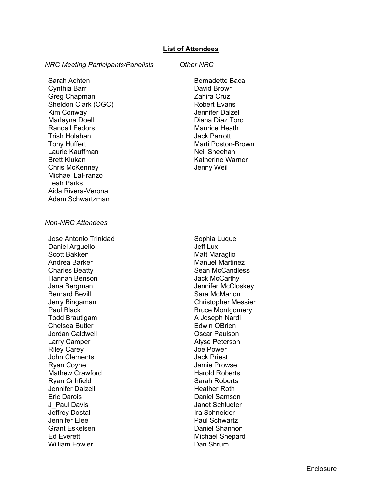## *NRC Meeting Participants/Panelists Other NRC*

Sarah Achten Cynthia Barr Greg Chapman Sheldon Clark (OGC) Kim Conway Marlayna Doell Randall Fedors Trish Holahan Tony Huffert Laurie Kauffman Brett Klukan Chris McKenney Michael LaFranzo Leah Parks Aida Rivera-Verona Adam Schwartzman

Bernadette Baca David Brown Zahira Cruz Robert Evans Jennifer Dalzell Diana Diaz Toro Maurice Heath Jack Parrott Marti Poston-Brown Neil Sheehan Katherine Warner Jenny Weil

## *Non-NRC Attendees*

Jose Antonio Trinidad Daniel Arguello Scott Bakken Andrea Barker Charles Beatty Hannah Benson Jana Bergman Bernard Bevill Jerry Bingaman Paul Black Todd Brautigam Chelsea Butler Jordan Caldwell Larry Camper Riley Carey John Clements Ryan Coyne Mathew Crawford Ryan Crihfield Jennifer Dalzell Eric Darois J\_Paul Davis Jeffrey Dostal Jennifer Elee Grant Eskelsen Ed Everett William Fowler

Sophia Luque Jeff Lux Matt Maraglio Manuel Martinez Sean McCandless Jack McCarthy Jennifer McCloskey Sara McMahon Christopher Messier Bruce Montgomery A Joseph Nardi Edwin OBrien Oscar Paulson Alyse Peterson Joe Power Jack Priest Jamie Prowse Harold Roberts Sarah Roberts Heather Roth Daniel Samson Janet Schlueter Ira Schneider Paul Schwartz Daniel Shannon Michael Shepard Dan Shrum